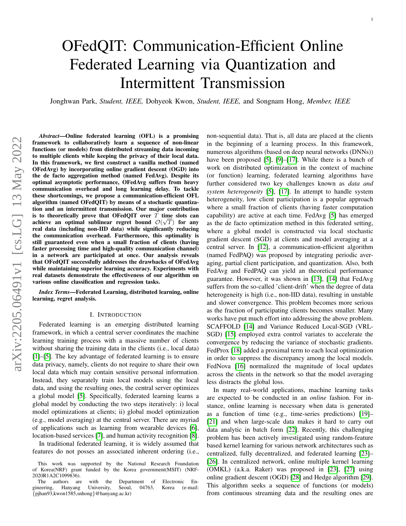# OFedQIT: Communication-Efficient Online Federated Learning via Quantization and Intermittent Transmission

Jonghwan Park, *Student, IEEE,* Dohyeok Kwon, *Student, IEEE,* and Songnam Hong, *Member, IEEE*

*Abstract*—Online federated learning (OFL) is a promising framework to collaboratively learn a sequence of non-linear functions (or models) from distributed streaming data incoming to multiple clients while keeping the privacy of their local data. In this framework, we first construct a vanilla method (named OFedAvg) by incorporating online gradient descent (OGD) into the de facto aggregation method (named FedAvg). Despite its optimal asymptotic performance, OFedAvg suffers from heavy communication overhead and long learning delay. To tackle these shortcomings, we propose a communication-efficient OFL algorithm (named OFedQIT) by means of a stochastic quantization and an intermittent transmission. Our major contribution is to theoretically prove that OFedQIT over  $T$  time slots can achieve an optimal sublinear regret bound  $\mathcal{O}(\sqrt{T})$  for any real data (including non-IID data) while significantly reducing the communication overhead. Furthermore, this optimality is still guaranteed even when a small fraction of clients (having faster processing time and high-quality communication channel) in a network are participated at once. Our analysis reveals that OFedQIT successfully addresses the drawbacks of OFedAvg while maintaining superior learning accuracy. Experiments with real datasets demonstrate the effectiveness of our algorithm on various online classification and regression tasks.

*Index Terms*—Federated Learning, distributed learning, online learning, regret analysis.

# I. INTRODUCTION

Federated learning is an emerging distributed learning framework, in which a central server coordinates the machine learning training process with a massive number of clients without sharing the training data in the clients *(i.e., local data)* [\[1\]](#page-11-0)–[\[5\]](#page-12-0). The key advantage of federated learning is to ensure data privacy, namely, clients do not require to share their own local data which may contain sensitive personal information. Instead, they separately train local models using the local data, and using the resulting ones, the central server optimizes a global model [\[5\]](#page-12-0). Specifically, federated learning learns a global model by conducting the two steps iteratively: i) local model optimizations at clients; ii) global model optimization (e.g., model averaging) at the central server. There are myriad of applications such as learning from wearable devices [\[6\]](#page-12-1), location-based services [\[7\]](#page-12-2), and human activity recognition [\[8\]](#page-12-3).

In traditional federated learning, it is widely assumed that features do not posses an associated inherent ordering (i.e., non-sequential data). That is, all data are placed at the clients in the beginning of a learning process. In this framework, numerous algorithms (based on deep neural networks (DNNs)) have been proposed [\[5\]](#page-12-0), [\[9\]](#page-12-4)–[\[17\]](#page-12-5). While there is a bunch of work on distributed optimization in the context of machine (or function) learning, federated learning algorithms have further considered two key challenges known as *data and system heterogeneity* [\[5\]](#page-12-0), [\[17\]](#page-12-5). In attempt to handle system heterogeneity, low client participation is a popular approach where a small fraction of clients (having faster computation capability) are active at each time. FedAvg [\[5\]](#page-12-0) has emerged as the de facto optimization method in this federated setting, where a global model is constructed via local stochastic gradient descent (SGD) at clients and model averaging at a central server. In [\[12\]](#page-12-6), a communication-efficient algorithm (named FedPAQ) was proposed by integrating periodic averaging, partial client participation, and quantization. Also, both FedAvg and FedPAQ can yield an theoretical performance guarantee. However, it was shown in [\[13\]](#page-12-7), [\[14\]](#page-12-8) that FedAvg suffers from the so-called 'client-drift' when the degree of data heterogeneity is high (i.e., non-IID data), resulting in unstable and slower convergence. This problem becomes more serious as the fraction of participating clients becomes smaller. Many works have put much effort into addressing the above problem. SCAFFOLD [\[14\]](#page-12-8) and Variance Reduced Local-SGD (VRL-SGD) [\[15\]](#page-12-9) employed extra control variates to accelerate the convergence by reducing the variance of stochastic gradients. FedProx [\[18\]](#page-12-10) added a proximal term to each local optimization in order to suppress the discrepancy among the local models. FedNova [\[16\]](#page-12-11) normalized the magnitude of local updates across the clients in the network so that the model averaging less distracts the global loss.

In many real-world applications, machine learning tasks are expected to be conducted in an *online* fashion. For instance, online learning is necessary when data is generated as a function of time (e.g., time-series predictions) [\[19\]](#page-12-12)– [\[21\]](#page-12-13) and when large-scale data makes it hard to carry out data analytic in batch form [\[22\]](#page-12-14). Recently, this challenging problem has been actively investigated using random-feature based kernel learning for various network architectures such as centralized, fully decentralized, and federated learning [\[23\]](#page-12-15)– [\[26\]](#page-12-16). In centralized network, online multiple kernel learning (OMKL) (a.k.a. Raker) was proposed in [\[23\]](#page-12-15), [\[27\]](#page-12-17) using online gradient descent (OGD) [\[28\]](#page-12-18) and Hedge algorithm [\[29\]](#page-12-19). This algorithm seeks a sequence of functions (or models) from continuous streaming data and the resulting ones are

This work was supported by the National Research Foundation of Korea(NRF) grant funded by the Korea government(MSIT) (NRF-2020R1A2C1099836).

The authors are with the Department of Electronic En-<br>neering, Hanyang University, Seoul, 04763, Korea (e-mail: gineering, Hanyang University, Seoul, 04763, Korea (e-mail: {pjhan93,kwon1585,snhong}@hanyang.ac.kr)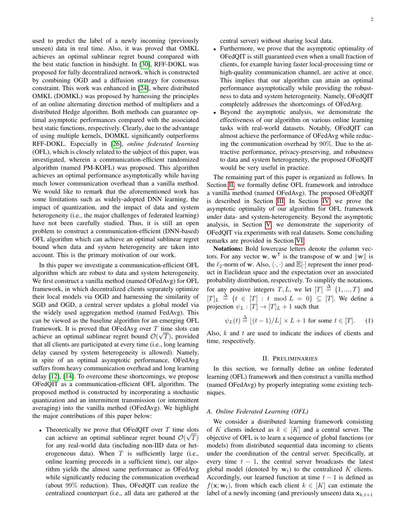used to predict the label of a newly incoming (previously unseen) data in real time. Also, it was proved that OMKL achieves an optimal sublinear regret bound compared with the best static function in hindsight. In [\[30\]](#page-12-20), RFF-DOKL was proposed for fully decentralized network, which is constructed by combining OGD and a diffusion strategy for consensus constraint. This work was enhanced in [\[24\]](#page-12-21), where distributed OMKL (DOMKL) was proposed by harnessing the principles of an online alternating direction method of multipliers and a distributed Hedge algorithm. Both methods can guarantee optimal asymptotic performances compared with the associated best static functions, respectively. Clearly, due to the advantage of using multiple kernels, DOMKL significantly outperforms RFF-DOKL. Especially in [\[26\]](#page-12-16), *online federated learning* (OFL), which is closely related to the subject of this paper, was investigated, wherein a communication-efficient randomized algorithm (named PM-KOFL) was proposed. This algorithm achieves an optimal performance asymptotically while having much lower communication overhead than a vanilla method. We would like to remark that the aforementioned work has some limitations such as widely-adopted DNN learning, the impact of quantization, and the impact of data and system heterogeneity (i.e., the major challenges of federated learning) have not been carefully studied. Thus, it is still an open problem to construct a communication-efficient (DNN-based) OFL algorithm which can achieve an optimal sublinear regret bound when data and system heterogeneity are taken into account. This is the primary motivation of our work.

In this paper we investigate a communication-efficient OFL algorithm which are robust to data and system heterogeneity. We first construct a vanilla method (named OFedAvg) for OFL framework, in which decentralized clients separately optimize their local models via OGD and harnessing the similarity of SGD and OGD, a central server updates a global model via the widely used aggregation method (named FedAvg). This can be viewed as the baseline algorithm for an emerging OFL framework. It is proved that OFedAvg over  $T$  time slots can achieve an optimal sublinear regret bound  $\mathcal{O}(\sqrt{T})$ , provided that all clients are participated at every time (i.e., long learning delay caused by system heterogeneity is allowed). Namely, in spite of an optimal asymptotic performance, OFedAvg suffers from heavy communication overhead and long learning delay [\[12\]](#page-12-6), [\[14\]](#page-12-8). To overcome these shortcomings, we propose OFedQIT as a communication-efficient OFL algorithm. The proposed method is constructed by incorporating a stochastic quantization and an intermittent transmission (or intermittent averaging) into the vanilla method (OFedAvg). We highlight the major contributions of this paper below:

• Theoretically we prove that OFedQIT over T time slots can achieve an optimal sublinear regret bound  $\mathcal{O}(\sqrt{T})$ for any real-world data (including non-IID data or heterogeneous data). When  $T$  is sufficiently large (i.e., online learning proceeds in a sufficient time), our algorithm yields the almost same performance as OFedAvg while significantly reducing the communication overhead (about 99% reduction). Thus, OFedQIT can realize the centralized counterpart (i.e., all data are gathered at the central server) without sharing local data.

- Furthermore, we prove that the asymptotic optimality of OFedQIT is still guaranteed even when a small fraction of clients, for example having faster local-processing time or high-quality communication channel, are active at once. This implies that our algorithm can attain an optimal performance asymptotically while providing the robustness to data and system heterogeneity. Namely, OFedQIT completely addresses the shortcomings of OFedAvg.
- Beyond the asymptotic analysis, we demonstrate the effectiveness of our algorithm on various online learning tasks with real-world datasets. Notably, OFedQIT can almost achieve the performance of OFedAvg while reducing the communication overhead by 90%. Due to the attractive performance, privacy-preserving, and robustness to data and system heterogeneity, the proposed OFedQIT would be very useful in practice.

The remaining part of this paper is organized as follows. In Section [II,](#page-1-0) we formally define OFL framework and introduce a vanilla method (named OFedAvg). The proposed OFedQIT is described in Section [III.](#page-3-0) In Section [IV,](#page-4-0) we prove the asymptotic optimality of our algorithm for OFL framework under data- and system-heterogeneity. Beyond the asymptotic analysis, in Section [V,](#page-8-0) we demonstrate the superiority of OFedQIT via experiments with real datasets. Some concluding remarks are provided in Section [VI.](#page-11-1)

Notations: Bold lowercase letters denote the column vectors. For any vector **w**,  $w^T$  is the transpose of **w** and  $\|w\|$  is the  $\ell_2$ -norm of w. Also,  $\langle \cdot, \cdot \rangle$  and  $\mathbb{E}[\cdot]$  represent the inner product in Euclidean space and the expectation over an associated probability distribution, respectively. To simplify the notations, for any positive integers  $T, L$ , we let  $[T] \triangleq \{1, ..., T\}$  and  $[T]_L \triangleq \{t \in [T] : t \mod L = 0\} \subseteq [T]$ . We define a projection  $\psi_L : [T] \to [T]_L + 1$  such that

$$
\psi_L(t) \stackrel{\Delta}{=} \lfloor (t-1)/L \rfloor \times L + 1 \text{ for some } t \in [T]. \tag{1}
$$

Also,  $k$  and  $t$  are used to indicate the indices of clients and time, respectively.

#### <span id="page-1-1"></span>II. PRELIMINARIES

<span id="page-1-0"></span>In this section, we formally define an online federated learning (OFL) framework and then construct a vanilla method (named OFedAvg) by properly integrating some existing techniques.

# *A. Online Federated Learning (OFL)*

We consider a distributed learning framework consisting of K clients indexed as  $k \in [K]$  and a central server. The objective of OFL is to learn a sequence of global functions (or models) from distributed sequential data incoming to clients under the coordination of the central server. Specifically, at every time  $t - 1$ , the central server broadcasts the latest global model (denoted by  $w_t$ ) to the centralized K clients. Accordingly, our learned function at time  $t - 1$  is defined as  $f(\mathbf{x}; \mathbf{w}_t)$ , from which each client  $k \in [K]$  can estimate the label of a newly incoming (and previously unseen) data  $x_{k,t+1}$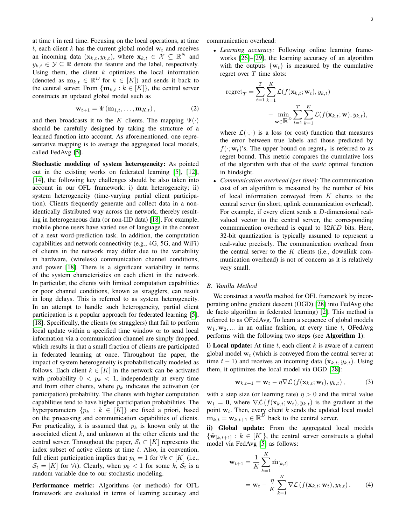at time  $t$  in real time. Focusing on the local operations, at time t, each client k has the current global model  $w_t$  and receives an incoming data  $(\mathbf{x}_{k,t}, y_{k,t})$ , where  $\mathbf{x}_{k,t} \in \mathcal{X} \subseteq \mathbb{R}^N$  and  $y_{k,t} \in \mathcal{Y} \subseteq \mathbb{R}$  denote the feature and the label, respectively. Using them, the client  $k$  optimizes the local information (denoted as  $\mathbf{m}_{k,t} \in \mathbb{R}^D$  for  $k \in [K]$ ) and sends it back to the central server. From  $\{m_{k,t} : k \in [K]\}$ , the central server constructs an updated global model such as

$$
\mathbf{w}_{t+1} = \Psi(\mathbf{m}_{1,t}, \dots, \mathbf{m}_{K,t}), \tag{2}
$$

and then broadcasts it to the K clients. The mapping  $\Psi(\cdot)$ should be carefully designed by taking the structure of a learned function into account. As aforementioned, one representative mapping is to average the aggregated local models, called FedAvg [\[5\]](#page-12-0).

Stochastic modeling of system heterogeneity: As pointed out in the existing works on federated learning [\[5\]](#page-12-0), [\[12\]](#page-12-6), [\[14\]](#page-12-8), the following key challenges should be also taken into account in our OFL framework: i) data heterogeneity; ii) system heterogeneity (time-varying partial client participation). Clients frequently generate and collect data in a nonidentically distributed way across the network, thereby resulting in heterogeneous data (or non-IID data) [\[18\]](#page-12-10). For example, mobile phone users have varied use of language in the context of a next word-prediction task. In addition, the computation capabilities and network connectivity (e.g., 4G, 5G, and WiFi) of clients in the network may differ due to the variability in hardware, (wireless) communication channel conditions, and power [\[18\]](#page-12-10). There is a significant variability in terms of the system characteristics on each client in the network. In particular, the clients with limited computation capabilities or poor channel conditions, known as stragglers, can result in long delays. This is referred to as system heterogeneity. In an attempt to handle such heterogeneity, partial client participation is a popular approach for federated learning [\[5\]](#page-12-0), [\[18\]](#page-12-10). Specifically, the clients (or stragglers) that fail to perform local update within a specified time window or to send local information via a communication channel are simply dropped, which results in that a small fraction of clients are participated in federated learning at once. Throughout the paper, the impact of system heterogeneity is probabilistically modeled as follows. Each client  $k \in [K]$  in the network can be activated with probability  $0 < p_k < 1$ , independently at every time and from other clients, where  $p_k$  indicates the activation (or participation) probability. The clients with higher computation capabilities tend to have higher participation probabilities. The hyperparameters  $\{p_k : k \in [K]\}$  are fixed a priori, based on the processing and communication capabilities of clients. For practicality, it is assumed that  $p_k$  is known only at the associated client  $k$ , and unknown at the other clients and the central server. Throughout the paper,  $S_t \subset [K]$  represents the index subset of active clients at time  $t$ . Also, in convention, full client participation implies that  $p_k = 1$  for  $\forall k \in [K]$  (i.e.,  $S_t = [K]$  for  $\forall t$ ). Clearly, when  $p_k < 1$  for some k,  $S_t$  is a random variable due to our stochastic modeling.

Performance metric: Algorithms (or methods) for OFL framework are evaluated in terms of learning accuracy and communication overhead:

• *Learning accuracy:* Following online learning frameworks [\[26\]](#page-12-16)–[\[29\]](#page-12-19), the learning accuracy of an algorithm with the outputs  $\{w_t\}$  is measured by the cumulative regret over  $T$  time slots:

regret<sub>T</sub> = 
$$
\sum_{t=1}^{T} \sum_{k=1}^{K} \mathcal{L}(f(\mathbf{x}_{k,t}; \mathbf{w}_t), y_{k,t})
$$

$$
- \min_{\mathbf{w} \in \mathbb{R}^D} \sum_{t=1}^{T} \sum_{k=1}^{K} \mathcal{L}(f(\mathbf{x}_{k,t}; \mathbf{w}), y_{k,t}),
$$

where  $\mathcal{L}(\cdot, \cdot)$  is a loss (or cost) function that measures the error between true labels and those predicted by  $f(\cdot; \mathbf{w}_t)$ 's. The upper bound on regret $_T$  is referred to as regret bound. This metric compares the cumulative loss of the algorithm with that of the *static* optimal function in hindsight.

• *Communication overhead (per time):* The communication cost of an algorithm is measured by the number of bits of local information conveyed from  $K$  clients to the central server (in short, uplink communication overhead). For example, if every client sends a D-dimensional realvalued vector to the central server, the corresponding communication overhead is equal to  $32KD$  bits. Here, 32-bit quantization is typically assumed to represent a real-value precisely. The communication overhead from the central server to the  $K$  clients (i.e., downlink communication overhead) is not of concern as it is relatively very small.

# <span id="page-2-2"></span>*B. Vanilla Method*

We construct a *vanilla* method for OFL framework by incorporating online gradient descent (OGD) [\[28\]](#page-12-18) into FedAvg (the de facto algorithm in federated learning) [\[2\]](#page-11-2). This method is referred to as OFedAvg. To learn a sequence of global models  $w_1, w_2, \dots$  in an online fashion, at every time t, OFedAvg performs with the following two steps (see Algorithm 1):

i) Local update: At time  $t$ , each client  $k$  is aware of a current global model  $w_t$  (which is conveyed from the central server at time  $t - 1$ ) and receives an incoming data  $(\mathbf{x}_{k,t}, y_{k,t})$ . Using them, it optimizes the local model via OGD [\[28\]](#page-12-18):

<span id="page-2-0"></span>
$$
\mathbf{w}_{k,t+1} = \mathbf{w}_t - \eta \nabla \mathcal{L} \left( f(\mathbf{x}_{k,t}; \mathbf{w}_t), y_{k,t} \right), \tag{3}
$$

with a step size (or learning rate)  $\eta > 0$  and the initial value  $\mathbf{w}_1 = \mathbf{0}$ , where  $\nabla \mathcal{L}(f(\mathbf{x}_{k,t}; \mathbf{w}_t), y_{k,t})$  is the gradient at the point  $w_t$ . Then, every client k sends the updated local model  $\mathbf{m}_{k,t} = \mathbf{w}_{k,t+1} \in \mathbb{R}^D$  back to the central server.

ii) Global update: From the aggregated local models  ${\hat{\mathbf{w}}}_{[k,t+1]} : k \in [K]$ , the central server constructs a global model via FedAvg [\[5\]](#page-12-0) as follows:

<span id="page-2-1"></span>
$$
\mathbf{w}_{t+1} = \frac{1}{K} \sum_{k=1}^{K} \hat{\mathbf{m}}_{[k,t]}
$$
  
=  $\mathbf{w}_t - \frac{\eta}{K} \sum_{k=1}^{K} \nabla \mathcal{L} (f(\mathbf{x}_{k,t}; \mathbf{w}_t), y_{k,t}).$  (4)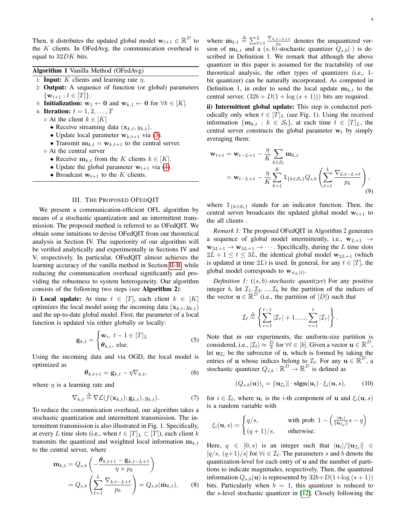Then, it distributes the updated global model  $\mathbf{w}_{t+1} \in \mathbb{R}^D$  to the  $K$  clients. In OFedAvg, the communication overhead is equal to 32DK bits.

|  |  |  |  | Algorithm 1 Vanilla Method (OFedAvg) |
|--|--|--|--|--------------------------------------|
|--|--|--|--|--------------------------------------|

- 1: **Input:** K clients and learning rate  $\eta$ .
- 2: Output: A sequence of function (or global) parameters  $\{w_{t+1} : t \in [T]\}.$
- 3: Initialization:  $w_1$  ← 0 and  $w_{k,1}$  ← 0 for  $\forall k \in [K]$ .
- 4: **Iteration:**  $t = 1, 2, ..., T$ 
	- $\diamond$  At the client  $k \in [K]$ 
		- Receive streaming data  $(\mathbf{x}_{k,t}, y_{k,t})$ .
		- Update local parameter  $w_{k,t+1}$  via [\(3\)](#page-2-0).
		- Transmit  $m_{k,t} = w_{k,t+1}$  to the central server.
	- $\diamond$  At the central server
		- Receive  $m_{k,t}$  from the K clients  $k \in [K]$ .
		- Update the global parameter  $w_{t+1}$  via [\(4\)](#page-2-1).
		- Broadcast  $w_{t+1}$  to the K clients.

# III. THE PROPOSED OFEDQIT

<span id="page-3-0"></span>We present a communication-efficient OFL algorithm by means of a stochastic quantization and an intermittent transmission. The proposed method is referred to as OFedQIT. We obtain some intuitions to devise OFedQIT from our theoretical analysis in Section IV. The superiority of our algorithm will be verified analytically and experimentally in Sections IV and V, respectively. In particular, OFedQIT almost achieves the learning accuracy of the vanilla method in Section [II-B,](#page-2-2) while reducing the communication overhead significantly and providing the robustness to system heterogeneity. Our algorithm consists of the following two steps (see Algorithm 2):

i) Local update: At time  $t \in [T]$ , each client  $k \in [K]$ optimizes the local model using the incoming data  $(\mathbf{x}_{k,t}, y_{k,t})$ and the up-to-date global model. First, the parameter of a local function is updated via either globally or locally:

$$
\mathbf{g}_{k,t} = \begin{cases} \mathbf{w}_t, \ t-1 \in [T]_L \\ \boldsymbol{\theta}_{k,t}, \text{ else.} \end{cases}
$$
 (5)

Using the incoming data and via OGD, the local model is optimized as

<span id="page-3-1"></span>
$$
\boldsymbol{\theta}_{k,t+1} = \mathbf{g}_{k,t} - \eta \nabla_{k,t},\tag{6}
$$

where  $\eta$  is a learning rate and

$$
\nabla_{k,t} \stackrel{\Delta}{=} \nabla \mathcal{L}(f(\mathbf{x}_{k,t}); \mathbf{g}_{k,t}), y_{k,t}).
$$
\n(7)

To reduce the communication overhead, our algorithm takes a stochastic quantization and intermittent transmission. The intermittent transmission is also illustrated in Fig. 1. Specifically, at every L time slots (i.e., when  $t \in [T]_L \subset [T]$ ), each client k transmits the quantized and weighted local information  $m_{k,t}$ to the central server, where

$$
\mathbf{m}_{k,t} = Q_{s,b} \left( -\frac{\theta_{k,t+1} - \mathbf{g}_{k,t-L+1}}{\eta \times p_k} \right)
$$

$$
= Q_{s,b} \left( \sum_{\ell=1}^L \frac{\nabla_{k,t-L+\ell}}{p_k} \right) = Q_{s,b}(\mathbf{\bar{m}}_{k,t}), \qquad (8)
$$

where  $\bar{m}_{k,t} \triangleq \sum_{\ell=1}^{L} \frac{\nabla_{k,t-L+\ell}}{p_k}$  denotes the unquantized verwhere  $\mathbf{m}_{k,t} = \sum_{\ell=1}^{p_k} p_k$  denotes the unquantized version of  $\mathbf{m}_{k,t}$  and a  $(s, b)$ -stochastic quantizer  $Q_{s,b}(\cdot)$  is described in Definition 1. We remark that although the above quantizer in this paper is assumed for the tractability of our theoretical analysis, the other types of quantizers (i.e., 1 bit quantizer) can be naturally incorporated. As computed in Definition 1, in order to send the local update  $m_{k,t}$  to the central server,  $(32b + D(1 + \log(s + 1)))$  bits are required.

ii) Intermittent global update: This step is conducted periodically only when  $t \in [T]_L$  (see Fig. 1). Using the received information  $\{\mathbf{m}_{k,t}: k \in \mathcal{S}_t\}$ , at each time  $t \in [T]_L$ , the central server constructs the global parameter  $w_t$  by simply averaging them:

<span id="page-3-3"></span>
$$
\mathbf{w}_{t+1} = \mathbf{w}_{t-L+1} - \frac{\eta}{K} \sum_{k \in S_t} \mathbf{m}_{k,t} \n= \mathbf{w}_{t-L+1} - \frac{\eta}{K} \sum_{k=1}^{K} \mathbb{1}_{\{k \in S_t\}} Q_{s,b} \left( \sum_{\ell=1}^{L} \frac{\nabla_{k,t-L+\ell}}{p_k} \right),
$$
\n(9)

where  $\mathbb{1}_{\{k \in S_t\}}$  stands for an indicator function. Then, the central server broadcasts the updated global model  $w_{t+1}$  to the all clients .

*Remark 1:* The proposed OFedQIT in Algorithm 2 generates a sequence of global model intermittently, i.e.,  $w_{L+1} \rightarrow$  $w_{2L+1} \rightarrow w_{3L+1} \rightarrow \cdots$ . Specifically, during the L time slots  $2L + 1 \le t \le 3L$ , the identical global model  $w_{2L+1}$  (which is updated at time 2L) is used. In general, for any  $t \in [T]$ , the global model corresponds to  $\mathbf{w}_{\psi_L(t)}$ .

*Definition 1:* ((s, b)*-stochastic quantizer*) For any positive integer b, let  $\mathcal{I}_1, \mathcal{I}_2, ..., \mathcal{I}_b$  be the partition of the indices of the vector  $\mathbf{u} \in \mathbb{R}^D$  (i.e., the partition of  $[D]$ ) such that

$$
\mathcal{I}_{\ell} \stackrel{\Delta}{=} \left\{ \sum_{\tau=1}^{\ell-1} |\mathcal{I}_{\tau}| + 1, \dots, \sum_{\tau=1}^{\ell} |\mathcal{I}_{\tau}| \right\}.
$$

Note that in our experiments, the uniform-size partition is considered, i.e.,  $|\mathcal{I}_{\ell}| \approx \frac{D}{b}$  for  $\forall \ell \in [b]$ . Given a vector  $\mathbf{u} \in \mathbb{R}^D$ , let  $\mathbf{u}_{\mathcal{I}_{\ell}}$  be the subvector of u, which is formed by taking the entries of u whose indices belong to  $\mathcal{I}_{\ell}$ . For any  $\mathbf{u} \in \mathbb{R}^D$ , a stochastic quantizer  $Q_{s,b} : \mathbb{R}^D \to \mathbb{R}^D$  is defined as

$$
(Q_{s,b}(\mathbf{u}))_i = \|\mathbf{u}_{\mathcal{I}_\ell}\| \cdot \mathbf{sign}(\mathbf{u}_i) \cdot \xi_i(\mathbf{u}, s), \quad (10)
$$

for  $i \in \mathcal{I}_{\ell}$ , where  $\mathbf{u}_i$  is the *i*-th component of **u** and  $\xi_i(\mathbf{u}, s)$ is a random variable with

$$
\xi_i(\mathbf{u}, s) = \begin{cases} q/s, & \text{with prob. } 1 - \left(\frac{|\mathbf{u}_i|}{\|\mathbf{u}_{\mathcal{I}_\ell}\|}s - q\right) \\ (q+1)/s, & \text{otherwise.} \end{cases}
$$

<span id="page-3-2"></span>Here,  $q \in [0, s)$  is an integer such that  $|\mathbf{u}_i|/||\mathbf{u}_{\mathcal{I}_\ell}|| \in$  $[q/s, (q+1)/s]$  for  $\forall i \in I$ . The parameters s and b denote the quantization-level for each entry of u and the number of partitions to indicate magnitudes, respectively. Then, the quantized information  $Q_{s,b}(\mathbf{u})$  is represented by  $32b+D(1+\log(s+1))$ bits. Particularly when  $b = 1$ , this quantizer is reduced to the s-level stochastic quantizer in [\[12\]](#page-12-6). Closely following the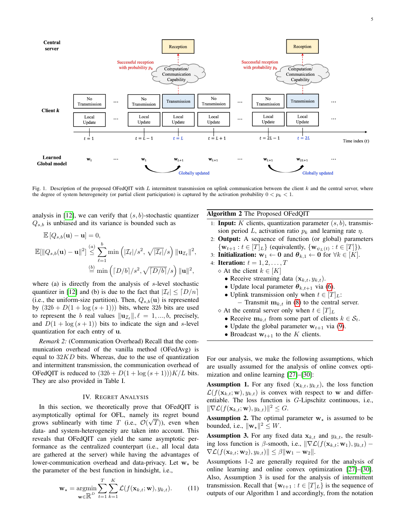

Fig. 1. Description of the proposed OFedQIT with L intermittent transmission on uplink communication between the client  $k$  and the central server, where the degree of system heterogeneity (or partial client participation) is captured by the activation probability  $0 < p_k < 1$ .

analysis in [\[12\]](#page-12-6), we can verify that  $(s, b)$ -stochastic quantizer  $Q_{s,b}$  is unbiased and its variance is bounded such as

$$
\mathbb{E}\left[Q_{s,b}(\mathbf{u})-\mathbf{u}\right]=0,
$$
  

$$
\mathbb{E}[\|Q_{s,b}(\mathbf{u})-\mathbf{u}\|^2] \stackrel{(a)}{\leq} \sum_{\ell=1}^b \min\left(\left|\mathcal{I}_{\ell}\right|/s^2, \sqrt{|\mathcal{I}_{\ell}|}/s\right) \|\mathbf{u}_{\mathcal{I}_{\ell}}\|^2,
$$
  

$$
\stackrel{(b)}{=} \min\left(\left\lceil D/b \right\rceil/s^2, \sqrt{\left\lceil D/b \right\rceil}/s\right) \|\mathbf{u}\|^2,
$$

where (a) is directly from the analysis of s-level stochastic quantizer in [\[12\]](#page-12-6) and (b) is due to the fact that  $|\mathcal{I}_{\ell}| \leq [D/n]$ (i.e., the uniform-size partition). Then,  $Q_{s,b}(\mathbf{u})$  is represented by  $(32b + D(1 + \log(s + 1)))$  bits, where 32b bits are used to represent the b real values  $\|\mathbf{u}_{\mathcal{I}_{\ell}}\|, \ell = 1, ..., b$ , precisely, and  $D(1 + \log(s + 1))$  bits to indicate the sign and s-level quantization for each entry of u.

*Remark 2:* (Communication Overhead) Recall that the communication overhead of the vanilla method (OFedAvg) is equal to  $32KD$  bits. Whereas, due to the use of quantization and intermittent transmission, the communication overhead of OFedQIT is reduced to  $(32b + D(1 + \log(s + 1)))K/L$  bits. They are also provided in Table I.

#### IV. REGRET ANALYSIS

<span id="page-4-0"></span>In this section, we theoretically prove that OFedQIT is asymptotically optimal for OFL, namely its regret bound grows sublinearly with time T (i.e.,  $\mathcal{O}(\sqrt{T})$ ), even when data- and system-heterogeneity are taken into account. This reveals that OFedQIT can yield the same asymptotic performance as the centralized counterpart (i.e., all local data are gathered at the server) while having the advantages of lower-communication overhead and data-privacy. Let  $w_*$  be the parameter of the best function in hindsight, i.e.,

$$
\mathbf{w}_{\star} = \underset{\mathbf{w} \in \mathbb{R}^{D}}{\operatorname{argmin}} \sum_{t=1}^{T} \sum_{k=1}^{K} \mathcal{L}(f(\mathbf{x}_{k,t}; \mathbf{w}), y_{k,t}). \tag{11}
$$

#### Algorithm 2 The Proposed OFedQIT

- 1: **Input:** K clients, quantization parameter  $(s, b)$ , transmission period L, activation ratio  $p_k$  and learning rate  $\eta$ .
- 2: Output: A sequence of function (or global) parameters  $\{ \mathbf{w}_{t+1} : t \in [T]_L \}$  (equivalently,  $\{ \mathbf{w}_{\psi_L(t)} : t \in [T] \}$ ).
- 3: **Initialization:**  $w_1$  ← 0 and  $\theta_{k,1}$  ← 0 for  $\forall k \in [K]$ .
- 4: **Iteration:**  $t = 1, 2, ..., T$ 
	- $\diamond$  At the client  $k \in [K]$ 
		- Receive streaming data  $(\mathbf{x}_{k,t}, y_{k,t})$ .
		- Update local parameter  $\theta_{k,t+1}$  via [\(6\)](#page-3-1).
		- Uplink transmission only when  $t \in [T]_L$ :  $-$  Transmit  $\mathbf{m}_{k,t}$  in [\(8\)](#page-3-2) to the central server.
	- $\Diamond$  At the central server only when  $t \in [T]_L$ 
		- Receive  $\mathbf{m}_{k,t}$  from some part of clients  $k \in S_t$ .
		- Update the global parameter  $w_{t+1}$  via [\(9\)](#page-3-3).
		- Broadcast  $w_{t+1}$  to the K clients.

For our analysis, we make the following assumptions, which are usually assumed for the analysis of online convex optimization and online learning [\[27\]](#page-12-17)–[\[30\]](#page-12-20):

**Assumption 1.** For any fixed  $(\mathbf{x}_{k,t}, y_{k,t})$ , the loss function  $\mathcal{L}(f(\mathbf{x}_{k,t}; \mathbf{w}), y_{k,t})$  is convex with respect to w and differentiable. The loss function is G-Lipschitz continuous, i.e.,  $\|\nabla \mathcal{L}(f(\mathbf{x}_{k,t}; \mathbf{w}), y_{k,t})\|^2 \leq G.$ 

**Assumption 2.** The optimal parameter  $w<sub>*</sub>$  is assumed to be bounded, i.e.,  $\|\mathbf{w}_\star\|^2 \leq W$ .

**Assumption 3.** For any fixed data  $x_{k,t}$  and  $y_{k,t}$ , the resulting loss function is  $\beta$ -smooth, i.e.,  $\|\nabla \mathcal{L}(f(\mathbf{x}_{k,t}; \mathbf{w}_1), y_{k,t}) \nabla \mathcal{L}(f(\mathbf{x}_{k,t}; \mathbf{w}_2), y_{k,t})\| \leq \beta \|\mathbf{w}_1 - \mathbf{w}_2\|.$ 

Assumptions 1-2 are generally required for the analysis of online learning and online convex optimization [\[27\]](#page-12-17)–[\[30\]](#page-12-20). Also, Assumption 3 is used for the analysis of intermittent transmission. Recall that  $\{w_{t+1} : t \in [T]_L\}$  is the sequence of outputs of our Algorithm 1 and accordingly, from the notation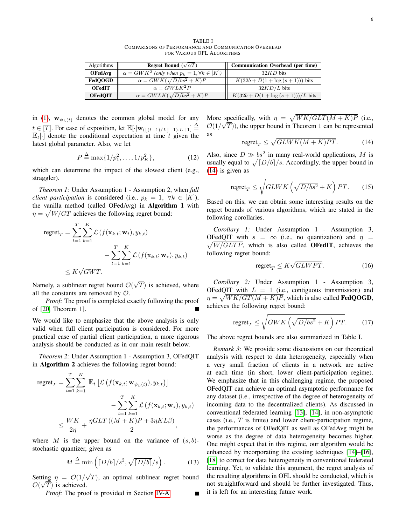TABLE I COMPARISONS OF PERFORMANCE AND COMMUNICATION OVERHEAD FOR VARIOUS OFL ALGORITHMS

| Algorithms     | <b>Regret Bound</b> $(\sqrt{\alpha T})$                    | <b>Communication Overhead (per time)</b> |
|----------------|------------------------------------------------------------|------------------------------------------|
| <b>OFedAvg</b> | $\alpha = GWK^2$ (only when $p_k = 1, \forall k \in [K]$ ) | $32KD$ bits                              |
| FedOOGD        | $\alpha = GWK(\sqrt{D/bs^2} + K)P$                         | $K(32b+D(1+\log(s+1)))$ bits             |
| <b>OFedIT</b>  | $\alpha = GWLK^2P$                                         | $32KD/L$ bits                            |
| <b>OFedQIT</b> | $\alpha = GWLK(\sqrt{D/bs^2} + K)P$                        | $K(32b+D(1+\log(s+1)))/L$ bits           |

in [\(1\)](#page-1-1),  $\mathbf{w}_{\psi_L(t)}$  denotes the common global model for any  $t \in [T]$ . For ease of exposition, let  $\mathbb{E}[\cdot | \mathbf{w}_{(\lfloor (t-1)/L\rfloor - 1)\cdot L+1}] \stackrel{\Delta}{=}$  $\mathbb{E}_{t}[\cdot]$  denote the conditional expectation at time t given the latest global parameter. Also, we let

<span id="page-5-1"></span>
$$
P \stackrel{\Delta}{=} \max\{1/p_1^2, \dots, 1/p_K^2\},\tag{12}
$$

which can determine the impact of the slowest client (e.g., straggler).

*Theorem 1:* Under Assumption 1 - Assumption 2, when *full client participation* is considered (i.e.,  $p_k = 1, \forall k \in [K]$ ), the vanilla method (called OFedAvg) in Algorithm 1 with  $\eta = \sqrt{W/GT}$  achieves the following regret bound:

$$
\begin{aligned} \text{regret}_{T} &= \sum_{t=1}^{T} \sum_{k=1}^{K} \mathcal{L}\left(f(\mathbf{x}_{k,t}; \mathbf{w}_{t}), y_{k,t}\right) \\ &- \sum_{t=1}^{T} \sum_{k=1}^{K} \mathcal{L}\left(f(\mathbf{x}_{k,t}; \mathbf{w}_{\star}), y_{k,t}\right) \\ &\leq K\sqrt{GWT}.\end{aligned}
$$

Namely, a sublinear regret bound  $\mathcal{O}(\mathbb{C})$ √  $T$ ) is achieved, where all the constants are removed by  $\mathcal{O}$ .

*Proof:* The proof is completed exactly following the proof of [\[20,](#page-12-22) Theorem 1].

We would like to emphasize that the above analysis is only valid when full client participation is considered. For more practical case of partial client participation, a more rigorous analysis should be conducted as in our main result below.

*Theorem 2:* Under Assumption 1 - Assumption 3, OFedQIT in Algorithm 2 achieves the following regret bound:

$$
\begin{aligned}\n\text{regret}_{T} &= \sum_{t=1}^{T} \sum_{k=1}^{K} \mathbb{E}_{t} \left[ \mathcal{L} \left( f(\mathbf{x}_{k,t}; \mathbf{w}_{\psi_L(t)}), y_{k,t} \right) \right] \\
&\quad - \sum_{t=1}^{T} \sum_{k=1}^{K} \mathcal{L} \left( f(\mathbf{x}_{k,t}; \mathbf{w}_{\star}), y_{k,t} \right) \\
&\leq \frac{W K}{2\eta} + \frac{\eta GLT \left( (M + K)P + 3\eta KL\beta \right)}{2},\n\end{aligned}
$$

where M is the upper bound on the variance of  $(s, b)$ stochastic quantizer, given as

$$
M \stackrel{\Delta}{=} \min\left( \left\lceil \frac{D}{b} \right\rceil / s^2, \sqrt{\left\lceil \frac{D}{b} \right\rceil / s} \right). \tag{13}
$$

Setting  $\eta = \mathcal{O}(1)$  $\lim_{\longrightarrow} \eta = O(1/\sqrt{T})$ , an optimal sublinear regret bound  $\mathcal{O}(\sqrt{T})$  is achieved.

*Proof:* The proof is provided in Section [IV-A.](#page-6-0)

More specifically, with  $\eta = \sqrt{WK/GLT(M + K)P}$  (i.e.,  $\mathcal{O}(1/\sqrt{T})$ , the upper bound in Theorem 1 can be represented as

<span id="page-5-0"></span>
$$
\text{regret}_T \le \sqrt{GLWK(M+K)PT}.\tag{14}
$$

Also, since  $D \gg bs^2$  in many real-world applications, M is usually equal to  $\sqrt{\frac{D}{b}}/s$ . Accordingly, the upper bound in [\(14\)](#page-5-0) is given as

$$
\text{regret}_T \le \sqrt{GLWK\left(\sqrt{D/bs^2} + K\right)PT}.\tag{15}
$$

Based on this, we can obtain some interesting results on the regret bounds of various algorithms, which are stated in the following corollaries.

*Corollary 1:* Under Assumption 1 - Assumption 3,  $\sqrt{W/GLTP}$ , which is also called **OFedIT**, achieves the OFedQIT with  $s = \infty$  (i.e., no quantization) and  $\eta =$ following regret bound:

$$
\text{regret}_T \leq K\sqrt{GLWPT}.\tag{16}
$$

*Corollary 2:* Under Assumption 1 - Assumption 3, OFedQIT with  $L = 1$  (i.e., contiguous transmission) and  $\eta = \sqrt{WK/GT(M+K)P}$ , which is also called **FedQOGD**, achieves the following regret bound:

$$
\text{regret}_T \le \sqrt{GWK\left(\sqrt{D/bs^2} + K\right)PT}.\tag{17}
$$

The above regret bounds are also summarized in Table I.

*Remark 3:* We provide some discussions on our theoretical analysis with respect to data heterogeneity, especially when a very small fraction of clients in a network are active at each time (in short, lower client-participation regime). We emphasize that in this challenging regime, the proposed OFedQIT can achieve an optimal asymptotic performance for any dataset (i.e., irrespective of the degree of heterogeneity of incoming data to the decentralized clients). As discussed in conventional federated learning [\[13\]](#page-12-7), [\[14\]](#page-12-8), in non-asymptotic cases (i.e., T is finite) and lower client-participation regime, the performances of OFedQIT as well as OFedAvg might be worse as the degree of data heterogeneity becomes higher. One might expect that in this regime, our algorithm would be enhanced by incorporating the existing techniques [\[14\]](#page-12-8)–[\[16\]](#page-12-11), [\[18\]](#page-12-10) to correct for data heterogeneity in conventional federated learning. Yet, to validate this argument, the regret analysis of the resulting algorithms in OFL should be conducted, which is not straightforward and should be further investigated. Thus, it is left for an interesting future work.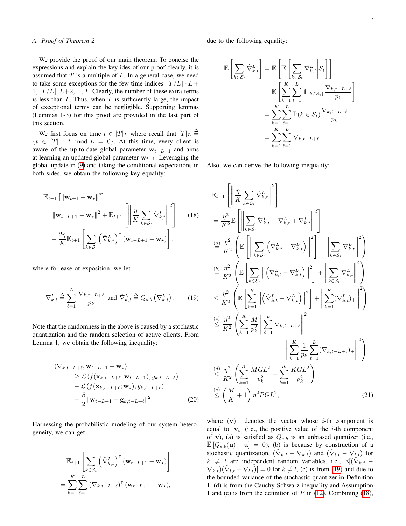# <span id="page-6-0"></span>*A. Proof of Theorem 2*

We provide the proof of our main theorem. To concise the expressions and explain the key ides of our proof clearly, it is assumed that  $T$  is a multiple of  $L$ . In a general case, we need to take some exceptions for the few time indices  $|T /L| \cdot L +$  $1, |T/L| \cdot L+2, ..., T$ . Clearly, the number of these extra-terms is less than  $L$ . Thus, when  $T$  is sufficiently large, the impact of exceptional terms can be negligible. Supporting lemmas (Lemmas 1-3) for this proof are provided in the last part of this section.

We first focus on time  $t \in [T]_L$  where recall that  $[T]_L \triangleq$  $\{t \in [T] : t \mod L = 0\}$ . At this time, every client is aware of the up-to-date global parameter  $w_{t-L+1}$  and aims at learning an updated global parameter  $w_{t+1}$ . Leveraging the global update in [\(9\)](#page-3-3) and taking the conditional expectations in both sides, we obtain the following key equality:

$$
\mathbb{E}_{t+1} \left[ \|\mathbf{w}_{t+1} - \mathbf{w}_{\star} \|^2 \right]
$$
\n
$$
= \|\mathbf{w}_{t-L+1} - \mathbf{w}_{\star} \|^2 + \mathbb{E}_{t+1} \left[ \left\| \frac{\eta}{K} \sum_{k \in S_t} \hat{\nabla}_{k,t}^L \right\|^2 \right] \qquad (18)
$$
\n
$$
- \frac{2\eta}{K} \mathbb{E}_{t+1} \left[ \sum_{k \in S_t} \left( \hat{\nabla}_{k,t}^L \right)^{\mathsf{T}} \left( \mathbf{w}_{t-L+1} - \mathbf{w}_{\star} \right) \right],
$$

where for ease of exposition, we let

<span id="page-6-1"></span>
$$
\nabla_{k,t}^{L} \triangleq \sum_{\ell=1}^{L} \frac{\nabla_{k,t-L+\ell}}{p_k} \text{ and } \hat{\nabla}_{k,t}^{L} \triangleq Q_{s,b} \left( \nabla_{k,t}^{L} \right). \qquad (19)
$$

Note that the randomness in the above is caused by a stochastic quantization and the random selection of active clients. From Lemma 1, we obtain the following inequality:

$$
\langle \nabla_{k,t-L+\ell}, \mathbf{w}_{t-L+1} - \mathbf{w}_{\star} \rangle
$$
  
\n
$$
\geq \mathcal{L} \left( f(\mathbf{x}_{k,t-L+\ell}; \mathbf{w}_{t-L+1}), y_{k,t-L+\ell} \right)
$$
  
\n
$$
- \mathcal{L} \left( f(\mathbf{x}_{k,t-L+\ell}; \mathbf{w}_{\star}), y_{k,t-L+\ell} \right)
$$
  
\n
$$
- \frac{\beta}{2} ||\mathbf{w}_{t-L+1} - \mathbf{g}_{k,t-L+\ell}||^2.
$$
 (20)

Harnessing the probabilistic modeling of our system heterogeneity, we can get

$$
\mathbb{E}_{t+1} \left[ \sum_{k \in \mathcal{S}_t} \left( \hat{\nabla}_{k,t}^L \right)^{\mathsf{T}} (\mathbf{w}_{t-L+1} - \mathbf{w}_\star) \right]
$$
  
= 
$$
\sum_{k=1}^K \sum_{\ell=1}^L (\nabla_{k,t-L+\ell})^{\mathsf{T}} (\mathbf{w}_{t-L+1} - \mathbf{w}_\star),
$$

due to the following equality:

$$
\mathbb{E}\left[\sum_{k\in\mathcal{S}_{t}}\hat{\nabla}_{k,t}^{L}\right] = \mathbb{E}\left[\mathbb{E}\left[\sum_{k\in\mathcal{S}_{t}}\hat{\nabla}_{k,t}^{L}\bigg|\mathcal{S}_{t}\right]\right]
$$

$$
= \mathbb{E}\left[\sum_{k=1}^{K}\sum_{\ell=1}^{L}\mathbb{1}_{\{k\in\mathcal{S}_{t}\}}\frac{\nabla_{k,t-L+\ell}}{p_{k}}\right]
$$

$$
= \sum_{k=1}^{K}\sum_{\ell=1}^{L}\mathbb{P}(k\in\mathcal{S}_{t})\frac{\nabla_{k,t-L+\ell}}{p_{k}}
$$

$$
= \sum_{k=1}^{K}\sum_{\ell=1}^{L}\nabla_{k,t-L+\ell}.
$$

Also, we can derive the following inequality:

<span id="page-6-2"></span>
$$
\mathbb{E}_{t+1}\left[\left\|\frac{\eta}{K}\sum_{k\in\mathcal{S}_{t}}\hat{\nabla}_{k,t}^{L}\right\|^{2}\right]
$$
\n
$$
=\frac{\eta^{2}}{K^{2}}\mathbb{E}\left[\left\|\sum_{k\in\mathcal{S}_{t}}\hat{\nabla}_{k,t}^{L}-\nabla_{k,t}^{L}+\nabla_{k,t}^{L}\right\|^{2}\right]
$$
\n
$$
\stackrel{(a)}{=} \frac{\eta^{2}}{K^{2}}\left(\mathbb{E}\left[\left\|\sum_{k\in\mathcal{S}_{t}}\left(\hat{\nabla}_{k,t}^{L}-\nabla_{k,t}^{L}\right)\right\|^{2}\right]+\left\|\sum_{k\in\mathcal{S}_{t}}\nabla_{k,t}^{L}\right\|^{2}\right)
$$
\n
$$
\stackrel{(b)}{=} \frac{\eta^{2}}{K^{2}}\left(\mathbb{E}\left[\sum_{k\in\mathcal{S}_{t}}\left\|\left(\hat{\nabla}_{k,t}^{L}-\nabla_{k,t}^{L}\right)\right\|^{2}\right]+\left\|\sum_{k\in\mathcal{S}_{t}}\nabla_{k,t}^{L}\right\|^{2}\right)
$$
\n
$$
\leq \frac{\eta^{2}}{K^{2}}\left(\mathbb{E}\left[\sum_{k=1}^{K}\left\|\left(\hat{\nabla}_{k,t}^{L}-\nabla_{k,t}^{L}\right)\right\|^{2}\right]+\left\|\sum_{k=1}^{K}(\nabla_{k,t}^{L})+\right\|^{2}\right)
$$
\n
$$
\stackrel{(c)}{\leq}\frac{\eta^{2}}{K^{2}}\left(\sum_{k=1}^{K}\frac{M}{p_{k}^{2}}\left\|\sum_{\ell=1}^{L}\nabla_{k,t-L+\ell}\right\|^{2}\right)
$$
\n
$$
+\left\|\sum_{k=1}^{K}\frac{1}{p_{k}}\sum_{\ell=1}^{L}(\nabla_{k,t-L+\ell})_{+}\right\|^{2}\right)
$$
\n
$$
\stackrel{(d)}{\leq}\frac{\eta^{2}}{K^{2}}\left(\sum_{k=1}^{K}\frac{MGL^{2}}{p_{k}^{2}}+\sum_{k=1}^{K}\frac{KGL^{2}}{p_{k}^{2}}\right)
$$
\n
$$
\stackrel{(e)}{=} \left(\frac{M}{K
$$

<span id="page-6-4"></span><span id="page-6-3"></span>where  $(v)$  denotes the vector whose *i*-th component is equal to  $|v_i|$  (i.e., the positive value of the *i*-th component of v), (a) is satisfied as  $Q_{s,b}$  is an unbiased quantizer (i.e.,  $\mathbb{E}[Q_{s,b}(\mathbf{u}) - \mathbf{u}] = 0$ , (b) is because by construction of a stochastic quantization,  $(\hat{\nabla}_{k,t} - \nabla_{k,t})$  and  $(\hat{\nabla}_{l,t} - \nabla_{l,t})$  for  $k \neq l$  are independent random variables, i.e.,  $\mathbb{E}[(\hat{\nabla}_{k,t} \nabla_{k,t}$ ) $(\hat{\nabla}_{l,t} - \nabla_{l,t})$ ] = 0 for  $k \neq l$ , (c) is from [\(19\)](#page-6-1) and due to the bounded variance of the stochastic quantizer in Definition 1, (d) is from the Cauchy-Schwarz inequality and Assumption 1 and (e) is from the definition of  $P$  in [\(12\)](#page-5-1). Combining [\(18\)](#page-6-2),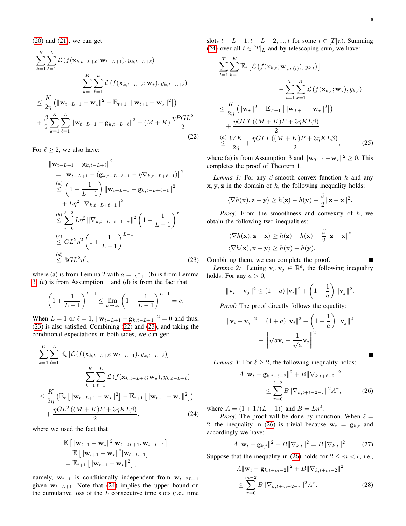$(20)$  and  $(21)$ , we can get

$$
\sum_{k=1}^{K} \sum_{\ell=1}^{L} \mathcal{L} \left( f(\mathbf{x}_{k,t-L+\ell}; \mathbf{w}_{t-L+1}), y_{k,t-L+\ell} \right) \n- \sum_{k=1}^{K} \sum_{\ell=1}^{L} \mathcal{L} \left( f(\mathbf{x}_{k,t-L+\ell}; \mathbf{w}_{\star}), y_{k,t-L+\ell} \right) \n\leq \frac{K}{2\eta} \left( \|\mathbf{w}_{t-L+1} - \mathbf{w}_{\star}\|^2 - \mathbb{E}_{t+1} \left[ \|\mathbf{w}_{t+1} - \mathbf{w}_{\star}\|^2 \right] \right) \n+ \frac{\beta}{2} \sum_{k=1}^{K} \sum_{\ell=1}^{L} \|\mathbf{w}_{t-L+1} - \mathbf{g}_{k,t-L+\ell}\|^2 + (M + K) \frac{\eta PGL^2}{2}.
$$
\n(22)

For  $\ell \geq 2$ , we also have:

$$
\|\mathbf{w}_{t-L+1} - \mathbf{g}_{k,t-L+\ell}\|^2
$$
\n
$$
= \|\mathbf{w}_{t-L+1} - (\mathbf{g}_{k,t-L+\ell-1} - \eta \nabla_{k,t-L+\ell-1})\|^2
$$
\n
$$
\leq \left(1 + \frac{1}{L-1}\right) \|\mathbf{w}_{t-L+1} - \mathbf{g}_{k,t-L+\ell-1}\|^2
$$
\n
$$
+ L\eta^2 \|\nabla_{k,t-L+\ell-1}\|^2
$$
\n
$$
\leq \sum_{\tau=0}^{t-2} L\eta^2 \|\nabla_{k,t-L+\ell-1-\tau}\|^2 \left(1 + \frac{1}{L-1}\right)^\tau
$$
\n
$$
\leq GL^2 \eta^2 \left(1 + \frac{1}{L-1}\right)^{L-1}
$$
\n
$$
\leq 3GL^2 \eta^2,
$$
\n(23)

where (a) is from Lemma 2 with  $a = \frac{1}{L-1}$ , (b) is from Lemma [3,](#page-7-0) (c) is from Assumption 1 and (d) is from the fact that

$$
\left(1 + \frac{1}{L - 1}\right)^{L - 1} \le \lim_{L \to \infty} \left(1 + \frac{1}{L - 1}\right)^{L - 1} = e.
$$

When  $L = 1$  or  $\ell = 1$ ,  $\|\mathbf{w}_{t-L+1} - \mathbf{g}_{k,t-L+1}\|^2 = 0$  and thus, [\(23\)](#page-7-1) is also satisfied. Combining [\(22\)](#page-7-2) and [\(23\)](#page-7-1), and taking the conditional expectations in both sides, we can get:

$$
\sum_{k=1}^{K} \sum_{\ell=1}^{L} \mathbb{E}_{t} \left[ \mathcal{L} \left( f(\mathbf{x}_{k,t-L+\ell}; \mathbf{w}_{t-L+1}), y_{k,t-L+\ell} \right) \right] - \sum_{k=1}^{K} \sum_{\ell=1}^{L} \mathcal{L} \left( f(\mathbf{x}_{k,t-L+\ell}; \mathbf{w}_{\star}), y_{k,t-L+\ell} \right) \leq \frac{K}{2\eta} \left( \mathbb{E}_{t} \left[ \|\mathbf{w}_{t-L+1} - \mathbf{w}_{\star}\|^{2} \right] - \mathbb{E}_{t+1} \left[ \|\mathbf{w}_{t+1} - \mathbf{w}_{\star}\|^{2} \right] \right) + \frac{\eta GL^{2} \left( (M + K)P + 3\eta KL\beta \right)}{2}, \tag{24}
$$

where we used the fact that

$$
\mathbb{E} [||\mathbf{w}_{t+1} - \mathbf{w}_{\star}||^2 | \mathbf{w}_{t-2L+1}, \mathbf{w}_{t-L+1}]
$$
  
=  $\mathbb{E} [||\mathbf{w}_{t+1} - \mathbf{w}_{\star}||^2 | \mathbf{w}_{t-L+1}]$   
=  $\mathbb{E}_{t+1} [||\mathbf{w}_{t+1} - \mathbf{w}_{\star}||^2],$ 

namely,  $w_{t+1}$  is conditionally independent from  $w_{t-2L+1}$ given  $w_{t-L+1}$ . Note that [\(24\)](#page-7-3) implies the upper bound on the cumulative loss of the  $L$  consecutive time slots (i.e., time slots  $t - L + 1$ ,  $t - L + 2$ , ..., t for some  $t \in [T]_L$ ). Summing [\(24\)](#page-7-3) over all  $t \in [T]_L$  and by telescoping sum, we have:

$$
\sum_{t=1}^{T} \sum_{k=1}^{K} \mathbb{E}_{t} \left[ \mathcal{L} \left( f(\mathbf{x}_{k,t}; \mathbf{w}_{\psi_L(t)}), y_{k,t} \right) \right] - \sum_{t=1}^{T} \sum_{k=1}^{K} \mathcal{L} \left( f(\mathbf{x}_{k,t}; \mathbf{w}_{\star}), y_{k,t} \right) \n\leq \frac{K}{2\eta} \left( \|\mathbf{w}_{\star}\|^{2} - \mathbb{E}_{T+1} \left[ \|\mathbf{w}_{T+1} - \mathbf{w}_{\star}\|^{2} \right] \right) \n+ \frac{\eta GLT \left( (M + K)P + 3\eta KL\beta \right)}{2} \n\overset{(a)}{\leq} \frac{WK}{2\eta} + \frac{\eta GLT \left( (M + K)P + 3\eta KL\beta \right)}{2},
$$
\n(25)

<span id="page-7-2"></span>where (a) is from Assumption 3 and  $\|\mathbf{w}_{T+1}-\mathbf{w}_*\|^2 \geq 0$ . This completes the proof of Theorem 1.

*Lemma 1:* For any  $\beta$ -smooth convex function h and any  $x, y, z$  in the domain of  $h$ , the following inequality holds:

$$
\langle \nabla h(\mathbf{x}), \mathbf{z} - \mathbf{y} \rangle \ge h(\mathbf{z}) - h(\mathbf{y}) - \frac{\beta}{2} ||\mathbf{z} - \mathbf{x}||^2.
$$

*Proof:* From the smoothness and convexity of h, we obtain the following two inequalities:

$$
\langle \nabla h(\mathbf{x}), \mathbf{z} - \mathbf{x} \rangle \ge h(\mathbf{z}) - h(\mathbf{x}) - \frac{\beta}{2} ||\mathbf{z} - \mathbf{x}||^2
$$
  
 $\langle \nabla h(\mathbf{x}), \mathbf{x} - \mathbf{y} \rangle \ge h(\mathbf{x}) - h(\mathbf{y}).$ 

<span id="page-7-1"></span>Combining them, we can complete the proof.

*Lemma* 2: Letting  $\mathbf{v}_i, \mathbf{v}_j \in \mathbb{R}^d$ , the following inequality holds: For any  $a > 0$ ,

$$
\|\mathbf{v}_i + \mathbf{v}_j\|^2 \le (1+a) \|\mathbf{v}_i\|^2 + \left(1+\frac{1}{a}\right) \|\mathbf{v}_j\|^2.
$$

*Proof:* The proof directly follows the equality:

$$
\|\mathbf{v}_i + \mathbf{v}_j\|^2 = (1+a) \|\mathbf{v}_i\|^2 + \left(1 + \frac{1}{a}\right) \|\mathbf{v}_j\|^2
$$

$$
- \left\|\sqrt{a}\mathbf{v}_i - \frac{1}{\sqrt{a}}\mathbf{v}_j\right\|^2.
$$

<span id="page-7-0"></span>*Lemma 3:* For  $\ell \geq 2$ , the following inequality holds:

<span id="page-7-4"></span>
$$
A \|\mathbf{w}_t - \mathbf{g}_{k,t+\ell-2}\|^2 + B \|\nabla_{k,t+\ell-2}\|^2
$$
  

$$
\leq \sum_{\tau=0}^{\ell-2} B \|\nabla_{k,t+\ell-2-\tau}\|^2 A^{\tau}, \tag{26}
$$

<span id="page-7-3"></span>where  $A = (1 + 1/(L - 1))$  and  $B = L\eta^2$ .

*Proof:* The proof will be done by induction. When  $\ell =$ 2, the inequality in [\(26\)](#page-7-4) is trivial because  $w_t = g_{k,t}$  and accordingly we have:

$$
A\|\mathbf{w}_t - \mathbf{g}_{k,t}\|^2 + B\|\nabla_{k,t}\|^2 = B\|\nabla_{k,t}\|^2. \tag{27}
$$

Suppose that the inequality in [\(26\)](#page-7-4) holds for  $2 \le m < \ell$ , i.e.,

<span id="page-7-5"></span>
$$
A||\mathbf{w}_t - \mathbf{g}_{k,t+m-2}||^2 + B||\nabla_{k,t+m-2}||^2
$$
  
\n
$$
\leq \sum_{\tau=0}^{m-2} B||\nabla_{k,t+m-2-\tau}||^2 A^{\tau}.
$$
 (28)

 $\blacksquare$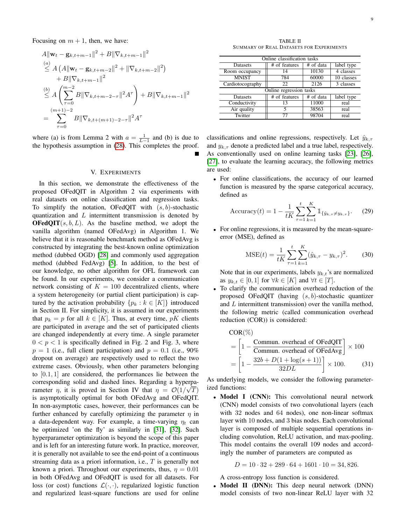Focusing on  $m + 1$ , then, we have:

$$
A \|\mathbf{w}_t - \mathbf{g}_{k,t+m-1}\|^2 + B \|\nabla_{k,t+m-1}\|^2
$$
  
\n
$$
\leq A \left( A \|\mathbf{w}_t - \mathbf{g}_{k,t+m-2}\|^2 + \|\nabla_{k,t+m-2}\|^2 \right)
$$
  
\n
$$
+ B \|\nabla_{k,t+m-1}\|^2
$$
  
\n
$$
\leq A \left( \sum_{\tau=0}^{m-2} B \|\nabla_{k,t+m-2-\tau}\|^2 A^\tau \right) + B \|\nabla_{k,t+m-1}\|^2
$$
  
\n
$$
= \sum_{\tau=0}^{(m+1)-2} B \|\nabla_{k,t+(m+1)-2-\tau}\|^2 A^\tau
$$

where (a) is from Lemma 2 with  $a = \frac{1}{L-1}$  and (b) is due to the hypothesis assumption in [\(28\)](#page-7-5). This completes the proof.

## V. EXPERIMENTS

<span id="page-8-0"></span>In this section, we demonstrate the effectiveness of the proposed OFedQIT in Algorithm 2 via experiments with real datasets on online classification and regression tasks. To simplify the notation, OFedQIT with  $(s, b)$ -stochastic quantization and  $L$  intermittent transmission is denoted by **OFedQIT** $(s, b, L)$ . As the baseline method, we adopt the vanilla algorithm (named OFedAvg) in Algorithm 1. We believe that it is reasonable benchmark method as OFedAvg is constructed by integrating the best-known online optimization method (dubbed OGD) [\[28\]](#page-12-18) and commonly used aggregation method (dubbed FedAvg) [\[5\]](#page-12-0). In addition, to the best of our knowledge, no other algorithm for OFL framework can be found. In our experiments, we consider a communication network consisting of  $K = 100$  decentralized clients, where a system heterogeneity (or partial client participation) is captured by the activation probability  $\{p_k : k \in [K]\}\$ introduced in Section II. For simplicity, it is assumed in our experiments that  $p_k = p$  for all  $k \in [K]$ . Thus, at every time, pK clients are participated in average and the set of participated clients are changed independently at every time. A single parameter  $0 < p < 1$  is specifically defined in Fig. 2 and Fig. 3, where  $p = 1$  (i.e., full client participation) and  $p = 0.1$  (i.e., 90%) dropout on average) are respectively used to reflect the two extreme cases. Obviously, when other parameters belonging to [0.1, 1] are considered, the performances lie between the corresponding solid and dashed lines. Regarding a hyperparameter  $\eta$ , it is proved in Section IV that  $\eta = \mathcal{O}(1/\sqrt{T})$ is asymptotically optimal for both OFedAvg and OFedQIT. In non-asymptotic cases, however, their performances can be further enhanced by carefully optimizing the parameter  $\eta$  in a data-dependent way. For example, a time-varying  $\eta_t$  can be optimized 'on the fly' as similarly in [\[31\]](#page-12-23), [\[32\]](#page-12-24). Such hyperparameter optimization is beyond the scope of this paper and is left for an interesting future work. In practice, moreover, it is generally not available to see the end-point of a continuous streaming data as a priori information, i.e., T is generally not known a priori. Throughout our experiments, thus,  $\eta = 0.01$ in both OFedAvg and OFedQIT is used for all datasets. For loss (or cost) functions  $\mathcal{L}(\cdot, \cdot)$ , regularized logistic function and regularized least-square functions are used for online

TABLE II SUMMARY OF REAL DATASETS FOR EXPERIMENTS

| Online classification tasks |               |           |            |  |
|-----------------------------|---------------|-----------|------------|--|
| <b>Datasets</b>             | # of features | # of data | label type |  |
| Room occupancy              | 14            | 10130     | 4 classes  |  |
| <b>MNIST</b>                | 784           | 60000     | 10 classes |  |
| Cardiotocography            | 22            | 2126      | 3 classes  |  |
| Online regression tasks     |               |           |            |  |
| <b>Datasets</b>             | # of features | # of data | label type |  |
| Conductivity                | 13            | 11000     | real       |  |
| Air quality                 | 5             | 38563     | real       |  |
| Twitter                     | 77            | 98704     | real       |  |

classifications and online regressions, respectively. Let  $\hat{y}_{k,\tau}$ and  $y_{k,\tau}$  denote a predicted label and a true label, respectively. As conventionally used on online learning tasks [\[23\]](#page-12-15), [\[26\]](#page-12-16), [\[27\]](#page-12-17), to evaluate the learning accuracy, the following metrics are used:

• For online classifications, the accuracy of our learned function is measured by the sparse categorical accuracy, defined as

Accuracy(t) = 
$$
1 - \frac{1}{tK} \sum_{\tau=1}^{t} \sum_{k=1}^{K} 1_{\{\hat{y}_{k,\tau} \neq y_{k,\tau}\}}.
$$
 (29)

• For online regressions, it is measured by the mean-squareerror (MSE), defined as

$$
\text{MSE}(t) = \frac{1}{tK} \sum_{\tau=1}^{t} \sum_{k=1}^{K} (\hat{y}_{k,\tau} - y_{k,\tau})^2.
$$
 (30)

Note that in our experiments, labels  $y_{k,t}$ 's are normalized as  $y_{k,t} \in [0,1]$  for  $\forall k \in [K]$  and  $\forall t \in [T]$ .

To clarify the communication overhead reduction of the proposed OFedQIT (having  $(s, b)$ -stochastic quantizer and  $L$  intermittent transmission) over the vanilla method, the following metric (called communication overhead reduction (COR)) is considered:

<span id="page-8-1"></span>COR(
$$
\%
$$
)  
\n= $\left[1 - \frac{\text{Commun. overhead of OfedQIT}}{\text{Commun. overhead of OfedAvg}}\right] \times 100$   
\n= $\left[1 - \frac{32b + D(1 + \log(s + 1))}{32DL}\right] \times 100.$  (31)

As underlying models, we consider the following parameterized functions:

• Model I (CNN): This convolutional neural network (CNN) model consists of two convolutional layers (each with 32 nodes and 64 nodes), one non-linear softmax layer with 10 nodes, and 3 bias nodes. Each convolutional layer is composed of multiple sequential operations including convolution, ReLU activation, and max-pooling. This model contains the overall 109 nodes and accordingly the number of parameters are computed as

$$
D = 10 \cdot 32 + 289 \cdot 64 + 1601 \cdot 10 = 34,826.
$$

A cross-entropy loss function is considered.

Model II (DNN): This deep neural network (DNN) model consists of two non-linear ReLU layer with 32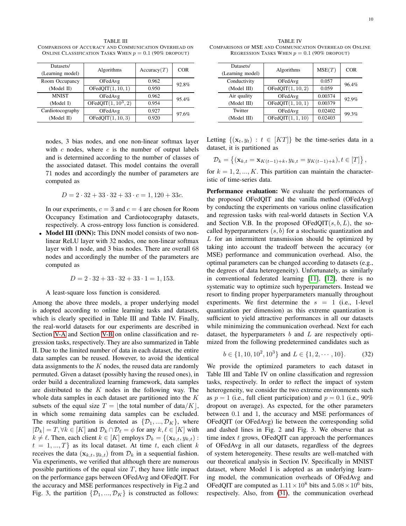| Datasets/<br>(Learning model) | Algorithms             | Accuracy(T) | <b>COR</b> |
|-------------------------------|------------------------|-------------|------------|
| Room Occupancy                | OFedAvg                | 0.962       | 92.8%      |
| (Model II)                    | OFedOIT(1, 10, 1)      | 0.950       |            |
| <b>MNIST</b>                  | OFedAvg                | 0.962       | 95.4%      |
| (Model I)                     | OFedQIT $(1, 10^3, 2)$ | 0.954       |            |
| Cardiotocography              | OFedAvg                | 0.927       | 97.6%      |
| (Model II)                    | OFedQIT(1, 10, 3)      | 0.920       |            |

TABLE III COMPARISONS OF ACCURACY AND COMMUNICATION OVERHEAD ON ONLINE CLASSIFICATION TASKS WHEN  $p = 0.1$  (90% DROPOUT)

nodes, 3 bias nodes, and one non-linear softmax layer with  $c$  nodes, where  $c$  is the number of output labels and is determined according to the number of classes of the associated dataset. This model contains the overall 71 nodes and accordingly the number of parameters are computed as

$$
D = 2 \cdot 32 + 33 \cdot 32 + 33 \cdot c = 1,120 + 33c.
$$

In our experiments,  $c = 3$  and  $c = 4$  are chosen for Room Occupancy Estimation and Cardiotocography datasets, respectively. A cross-entropy loss function is considered.

• Model III (DNN): This DNN model consists of two nonlinear ReLU layer with 32 nodes, one non-linear softmax layer with 1 node, and 3 bias nodes. There are overall 68 nodes and accordingly the number of the parameters are computed as

$$
D = 2 \cdot 32 + 33 \cdot 32 + 33 \cdot 1 = 1,153.
$$

#### A least-square loss function is considered.

Among the above three models, a proper underlying model is adopted according to online learning tasks and datasets, which is clearly specified in Table III and Table IV. Finally, the real-world datasets for our experiments are described in Section [V-A](#page-11-3) and Section [V-B](#page-11-4) on online classification and regression tasks, respectively. They are also summarized in Table II. Due to the limited number of data in each dataset, the entire data samples can be reused. However, to avoid the identical data assignments to the  $K$  nodes, the reused data are randomly permuted. Given a dataset (possibly having the reused ones), in order build a decentralized learning framework, data samples are distributed to the  $K$  nodes in the following way. The whole data samples in each dataset are partitioned into the  $K$ subsets of the equal size  $T = \vert$  the total number of data/K $\vert$ , in which some remaining data samples can be excluded. The resulting partition is denoted as  $\{\mathcal{D}_1, ..., \mathcal{D}_K\}$ , where  $|\mathcal{D}_k| = T, \forall k \in [K]$  and  $\mathcal{D}_k \cap \mathcal{D}_\ell = \phi$  for any  $k, \ell \in [K]$  with  $k \neq \ell$ . Then, each client  $k \in [K]$  employs  $\mathcal{D}_k = \{(\mathbf{x}_{k,t}, y_{k,t})$ :  $t = 1, ..., T$  as its local dataset. At time t, each client k receives the data  $(\mathbf{x}_{k,t}, y_{k,t})$  from  $\mathcal{D}_k$  in a sequential fashion. Via experiments, we verified that although there are numerous possible partitions of the equal size  $T$ , they have little impact on the performance gaps between OFedAvg and OFedQIT. For the accuracy and MSE performances respectively in Fig.2 and Fig. 3, the partition  $\{\mathcal{D}_1, ..., \mathcal{D}_K\}$  is constructed as follows:

| Datasets/<br>(Learning model) | Algorithms        | MSE(T)  | <b>COR</b> |
|-------------------------------|-------------------|---------|------------|
| Conductivity                  | OFedAvg           | 0.057   | 96.4%      |
| (Model III)                   | OFedQIT(1, 10, 2) | 0.059   |            |
| Air quality                   | OFedAvg           | 0.00374 | 92.9%      |
| (Model III)                   | OFedOIT(1, 10, 1) | 0.00379 |            |
| Twitter                       | OFedAvg           | 0.02402 | 99.3%      |
| (Model III)                   | OFedQIT(1, 1, 10) | 0.02403 |            |

Letting  $\{(\mathbf{x}_t, y_t) : t \in [KT]\}$  be the time-series data in a dataset, it is partitioned as

$$
\mathcal{D}_k = \{ (\mathbf{x}_{k,t} = \mathbf{x}_{K(t-1)+k}, y_{k,t} = y_{K(t-1)+k}), t \in [T] \},
$$

for  $k = 1, 2, ..., K$ . This partition can maintain the characteristic of time-series data.

Performance evaluation: We evaluate the performances of the proposed OFedQIT and the vanilla method (OFedAvg) by conducting the experiments on various online classification and regression tasks with real-world datasets in Section V.A and Section V.B. In the proposed OFedQIT $(s, b, L)$ , the socalled hyperparameters  $(s, b)$  for a stochastic quantization and  $L$  for an intermittent transmission should be optimized by taking into account the tradeoff between the accuracy (or MSE) performance and communication overhead. Also, the optimal parameters can be changed according to datasets (e.g., the degrees of data heterogeneity). Unfortunately, as similarly in conventional federated learning [\[11\]](#page-12-25), [\[12\]](#page-12-6), there is no systematic way to optimize such hyperparameters. Instead we resort to finding proper hyperparameters manually throughout experiments. We first determine the  $s = 1$  (i.e., 1-level quantization per dimension) as this extreme quantization is sufficient to yield attractive performances in all our datasets while minimizing the communication overhead. Next for each dataset, the hyperparameters  $b$  and  $L$  are respectively optimized from the following predetermined candidates such as

$$
b \in \{1, 10, 10^2, 10^3\} \text{ and } L \in \{1, 2, \cdots, 10\}. \tag{32}
$$

We provide the optimized parameters to each dataset in Table III and Table IV on online classification and regression tasks, respectively. In order to reflect the impact of system heterogeneity, we consider the two extreme environments such as  $p = 1$  (i.e., full client participation) and  $p = 0.1$  (i.e., 90%) dropout on average). As expected, for the other parameters between 0.1 and 1, the accuracy and MSE performances of OFedQIT (or OFedAvg) lie between the corresponding solid and dashed lines in Fig. 2 and Fig. 3. We observe that as time index  $t$  grows, OFedQIT can approach the performances of OFedAvg in all our datasets, regardless of the degrees of system heterogeneity. These results are well-matched with our theoretical analysis in Section IV. Specifically in MNIST dataset, where Model I is adopted as an underlying learning model, the communication overheads of OFedAvg and OFedQIT are computed as  $1.11 \times 10^8$  bits and  $5.08 \times 10^6$  bits, respectively. Also, from [\(31\)](#page-8-1), the communication overhead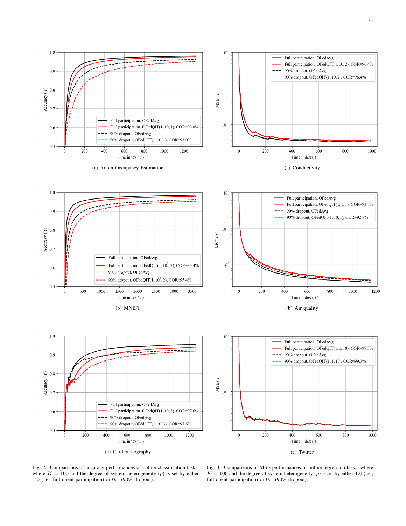

11



(c) Cardiotocography

Fig. 3. Comparisons of MSE performances of online regression tasks, where  $K = 100$  and the degree of system heterogeneity (p) is set by either 1.0 (i.e., full client participation) or 0.1 (90% dropout).

Fig. 2. Comparisons of accuracy performances of online classification tasks, where  $K = 100$  and the degree of system heterogeneity (p) is set by either 1.0 (i.e., full client participation) or 0.1 (90% dropout).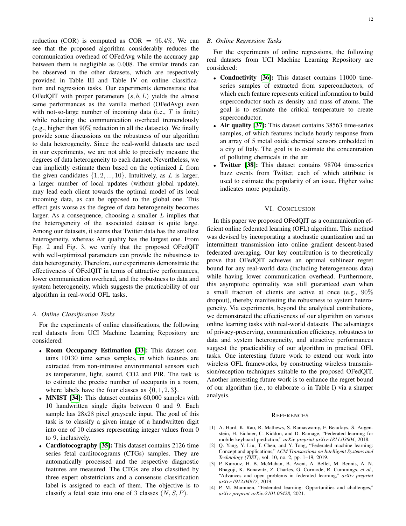reduction (COR) is computed as  $COR = 95.4\%$ . We can see that the proposed algorithm considerably reduces the communication overhead of OFedAvg while the accuracy gap between them is negligible as 0.008. The similar trends can be observed in the other datasets, which are respectively provided in Table III and Table IV on online classification and regression tasks. Our experiments demonstrate that OFedOIT with proper parameters  $(s, b, L)$  yields the almost same performances as the vanilla method (OFedAvg) even with not-so-large number of incoming data (i.e.,  $T$  is finite) while reducing the communication overhead tremendously (e.g., higher than 90% reduction in all the datasets). We finally provide some discussions on the robustness of our algorithm to data heterogeneity. Since the real-world datasets are used in our experiments, we are not able to precisely measure the degrees of data heterogeneity to each dataset. Nevertheless, we can implicitly estimate them based on the optimized  $L$  from the given candidates  $\{1, 2, ..., 10\}$ . Intuitively, as L is larger, a larger number of local updates (without global update), may lead each client towards the optimal model of its local incoming data, as can be opposed to the global one. This effect gets worse as the degree of data heterogeneity becomes larger. As a consequence, choosing a smaller  $L$  implies that the heterogeneity of the associated dataset is quite large. Among our datasets, it seems that Twitter data has the smallest heterogeneity, whereas Air quality has the largest one. From Fig. 2 and Fig. 3, we verify that the proposed OFedQIT with well-optimized parameters can provide the robustness to data heterogeneity. Therefore, our experiments demonstrate the effectiveness of OFedQIT in terms of attractive performances, lower communication overhead, and the robustness to data and system heterogeneity, which suggests the practicability of our algorithm in real-world OFL tasks.

# <span id="page-11-3"></span>*A. Online Classification Tasks*

For the experiments of online classifications, the following real datasets from UCI Machine Learning Repository are considered:

- Room Occupancy Estimation [\[33\]](#page-12-26): This dataset contains 10130 time series samples, in which features are extracted from non-intrusive environmental sensors such as temperature, light, sound, CO2 and PIR. The task is to estimate the precise number of occupants in a room, where labels have the four classes as  $\{0, 1, 2, 3\}.$
- MNIST [\[34\]](#page-12-27): This dataset contains 60,000 samples with 10 handwritten single digits between 0 and 9. Each sample has 28x28 pixel grayscale input. The goal of this task is to classify a given image of a handwritten digit into one of 10 classes representing integer values from 0 to 9, inclusively.
- Cardiotocography [\[35\]](#page-12-28): This dataset contains 2126 time series fetal carditocograms (CTGs) samples. They are automatically processed and the respective diagnostic features are measured. The CTGs are also classified by three expert obstetricians and a consensus classification label is assigned to each of them. The objective is to classify a fetal state into one of 3 classes  $(N, S, P)$ .

# <span id="page-11-4"></span>*B. Online Regression Tasks*

For the experiments of online regressions, the following real datasets from UCI Machine Learning Repository are considered:

- Conductivity [\[36\]](#page-12-29): This dataset contains 11000 timeseries samples of extracted from superconductors, of which each feature represents critical information to build superconductor such as density and mass of atoms. The goal is to estimate the critical temperature to create superconductor.
- Air quality [\[37\]](#page-12-30): This dataset contains 38563 time-series samples, of which features include hourly response from an array of 5 metal oxide chemical sensors embedded in a city of Italy. The goal is to estimate the concentration of polluting chemicals in the air.
- Twitter [\[38\]](#page-12-31): This dataset contains 98704 time-series buzz events from Twitter, each of which attribute is used to estimate the popularity of an issue. Higher value indicates more popularity.

# VI. CONCLUSION

<span id="page-11-1"></span>In this paper we proposed OFedQIT as a communication efficient online federated learning (OFL) algorithm. This method was devised by incorporating a stochastic quantization and an intermittent transmission into online gradient descent-based federated averaging. Our key contribution is to theoretically prove that OFedQIT achieves an optimal sublinear regret bound for any real-world data (including heterogeneous data) while having lower communication overhead. Furthermore, this asymptotic optimality was still guaranteed even when a small fraction of clients are active at once (e.g., 90% dropout), thereby manifesting the robustness to system heterogeneity. Via experiments, beyond the analytical contributions, we demonstrated the effectiveness of our algorithm on various online learning tasks with real-world datasets. The advantages of privacy-preserving, communication efficiency, robustness to data and system heterogeneity, and attractive performances suggest the practicability of our algorithm in practical OFL tasks. One interesting future work to extend our work into wireless OFL frameworks, by constructing wireless transmission/reception techniques suitable to the proposed OFedQIT. Another interesting future work is to enhance the regret bound of our algorithm (i.e., to elaborate  $\alpha$  in Table I) via a sharper analysis.

#### **REFERENCES**

- <span id="page-11-0"></span>[1] A. Hard, K. Rao, R. Mathews, S. Ramaswamy, F. Beaufays, S. Augenstein, H. Eichner, C. Kiddon, and D. Ramage, "Federated learning for mobile keyboard prediction," *arXiv preprint arXiv:1811.03604*, 2018.
- <span id="page-11-2"></span>[2] Q. Yang, Y. Liu, T. Chen, and Y. Tong, "Federated machine learning: Concept and applications," *ACM Transactions on Intelligent Systems and Technology (TIST)*, vol. 10, no. 2, pp. 1–19, 2019.
- [3] P. Kairouz, H. B. McMahan, B. Avent, A. Bellet, M. Bennis, A. N. Bhagoji, K. Bonawitz, Z. Charles, G. Cormode, R. Cummings, *et al.*, "Advances and open problems in federated learning," *arXiv preprint arXiv:1912.04977*, 2019.
- [4] P. M. Mammen, "Federated learning: Opportunities and challenges," *arXiv preprint arXiv:2101.05428*, 2021.